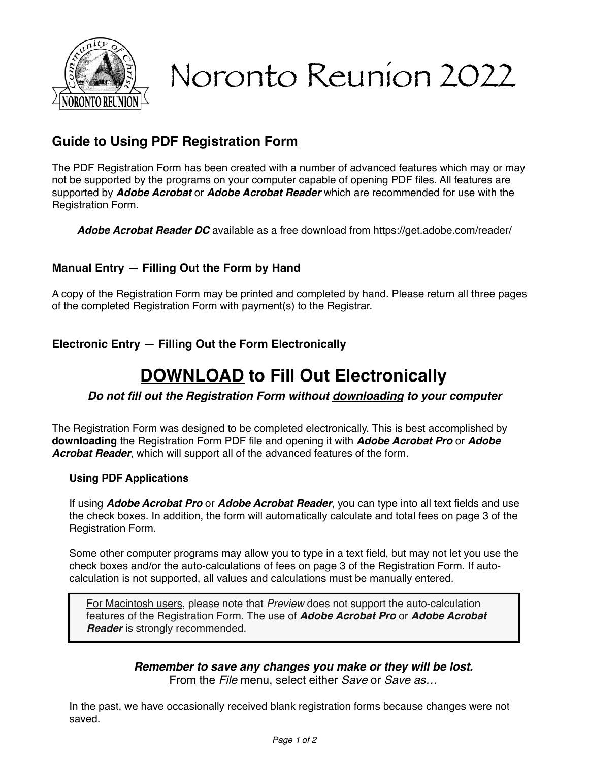

# Noronto Reunion 2022

## **Guide to Using PDF Registration Form**

The PDF Registration Form has been created with a number of advanced features which may or may not be supported by the programs on your computer capable of opening PDF files. All features are supported by *Adobe Acrobat* or *Adobe Acrobat Reader* which are recommended for use with the Registration Form.

*Adobe Acrobat Reader DC* available as a free download from<https://get.adobe.com/reader/>

#### **Manual Entry — Filling Out the Form by Hand**

A copy of the Registration Form may be printed and completed by hand. Please return all three pages of the completed Registration Form with payment(s) to the Registrar.

**Electronic Entry — Filling Out the Form Electronically**

# **DOWNLOAD to Fill Out Electronically**

#### *Do not fill out the Registration Form without downloading to your computer*

The Registration Form was designed to be completed electronically. This is best accomplished by **downloading** the Registration Form PDF file and opening it with *Adobe Acrobat Pro* or *Adobe Acrobat Reader*, which will support all of the advanced features of the form.

#### **Using PDF Applications**

If using *Adobe Acrobat Pro* or *Adobe Acrobat Reader*, you can type into all text fields and use the check boxes. In addition, the form will automatically calculate and total fees on page 3 of the Registration Form.

Some other computer programs may allow you to type in a text field, but may not let you use the check boxes and/or the auto-calculations of fees on page 3 of the Registration Form. If autocalculation is not supported, all values and calculations must be manually entered.

For Macintosh users, please note that *Preview* does not support the auto-calculation features of the Registration Form. The use of *Adobe Acrobat Pro* or *Adobe Acrobat Reader* is strongly recommended.

#### *Remember to save any changes you make or they will be lost.*

From the *File* menu, select either *Save* or *Save as…*

In the past, we have occasionally received blank registration forms because changes were not saved.